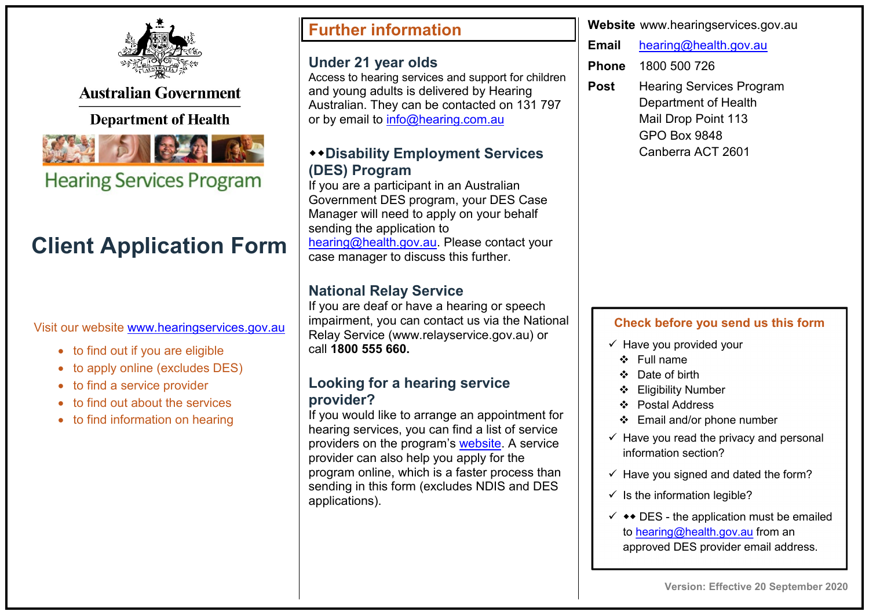

**Australian Government** 

## **Department of Health**



**Hearing Services Program** 

# **Client Application Form**

Visit our website [www.hearingservices.gov.au](http://www.hearingservices.gov.au/)

- to find out if you are eligible
- to apply online (excludes DES)
- to find a service provider
- to find out about the services
- to find information on hearing

## **Further information**

#### **Under 21 year olds**

Access to hearing services and support for children and young adults is delivered by Hearing Australian. They can be contacted on 131 797 or by email to [info@hearing.com.au](mailto:info@hearing.com.au)

### **Disability Employment Services (DES) Program**

If you are a participant in an Australian Government DES program, your DES Case Manager will need to apply on your behalf sending the application to [hearing@health.gov.au.](mailto:hearing@health.gov.au) Please contact your case manager to discuss this further.

## **National Relay Service**

If you are deaf or have a hearing or speech impairment, you can contact us via the National Relay Service (www.relayservice.gov.au) or call **1800 555 660.**

### **Looking for a hearing service provider?**

If you would like to arrange an appointment for hearing services, you can find a list of service providers on the program's [website.](http://www.hearingservices.gov.au/wps/portal/hso/site/locateprovider/!ut/p/a1/04_Sj9CPykssy0xPLMnMz0vMAfGjzOK9A03NDD0NjLwtwvzdDBwd_UJ9vNxMjAxcTIAKIvEoMDAlTr8BDuBoQEh_uH4UXiUgF4AV4LGiIDc0wiDTUREAHVWDDQ!!/dl5/d5/L2dBISEvZ0FBIS9nQSEh/) A service provider can also help you apply for the program online, which is a faster process than sending in this form (excludes NDIS and DES applications).

**Website** www.hearingservices.gov.au

**Email** [hearing@health.gov.au](mailto:hearing@health.gov.au) 

**Phone** 1800 500 726

**Post** Hearing Services Program Department of Health Mail Drop Point 113 GPO Box 9848 Canberra ACT 2601

#### **Check before you send us this form**

- $\checkmark$  Have you provided your
	- Full name
	- Date of birth
	- Eligibility Number
	- Postal Address
	- Email and/or phone number
- $\checkmark$  Have you read the privacy and personal information section?
- $\checkmark$  Have you signed and dated the form?
- $\checkmark$  Is the information legible?
- $\checkmark$   $\leftrightarrow$  DES the application must be emailed to [hearing@health.gov.au](mailto:hearing@health.gov.au) from an approved DES provider email address.